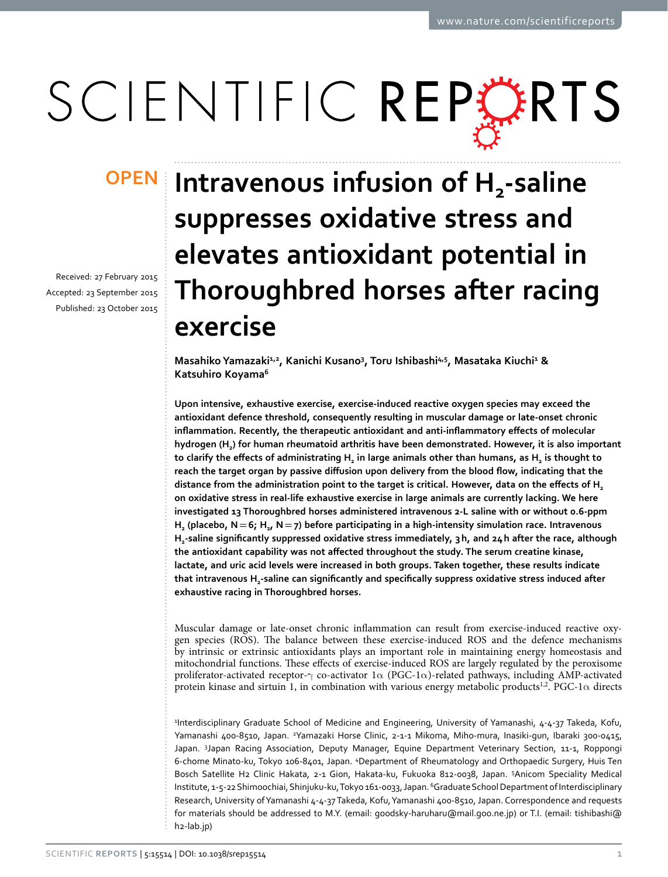# SCIENTIFIC REPERTS

Received: 27 February 2015 accepted: 23 September 2015 Published: 23 October 2015

## **OPEN** Intravenous infusion of H<sub>2</sub>-saline **suppresses oxidative stress and elevates antioxidant potential in Thoroughbred horses after racing exercise**

Masahiko Yamazaki<sup>1,2</sup>, Kanichi Kusano<sup>3</sup>, Toru Ishibashi<sup>4,5</sup>, Masataka Kiuchi<sup>1</sup> & **Katsuhiro Koyama6**

**Upon intensive, exhaustive exercise, exercise-induced reactive oxygen species may exceed the antioxidant defence threshold, consequently resulting in muscular damage or late-onset chronic inflammation. Recently, the therapeutic antioxidant and anti-inflammatory effects of molecular hydrogen (H2) for human rheumatoid arthritis have been demonstrated. However, it is also important**  to clarify the effects of administrating H<sub>2</sub> in large animals other than humans, as H<sub>2</sub> is thought to **reach the target organ by passive diffusion upon delivery from the blood flow, indicating that the distance from the administration point to the target is critical. However, data on the effects of H<sup>2</sup> on oxidative stress in real-life exhaustive exercise in large animals are currently lacking. We here investigated 13 Thoroughbred horses administered intravenous 2-L saline with or without 0.6-ppm H<sub>2</sub>** (placebo,  $N = 6$ ;  $H_{2}$ ,  $N = 7$ ) before participating in a high-intensity simulation race. Intravenous **H2-saline significantly suppressed oxidative stress immediately, 3h, and 24h after the race, although the antioxidant capability was not affected throughout the study. The serum creatine kinase, lactate, and uric acid levels were increased in both groups. Taken together, these results indicate that intravenous H2-saline can significantly and specifically suppress oxidative stress induced after exhaustive racing in Thoroughbred horses.**

Muscular damage or late-onset chronic inflammation can result from exercise-induced reactive oxygen species (ROS). The balance between these exercise-induced ROS and the defence mechanisms by intrinsic or extrinsic antioxidants plays an important role in maintaining energy homeostasis and mitochondrial functions. These effects of exercise-induced ROS are largely regulated by the peroxisome proliferator-activated receptor- $\gamma$  co-activator 1 $\alpha$  (PGC-1 $\alpha$ )-related pathways, including AMP-activated protein kinase and sirtuin 1, in combination with various energy metabolic products<sup>1,2</sup>. PGC-1 $\alpha$  directs

1 Interdisciplinary Graduate School of Medicine and Engineering, University of Yamanashi, 4-4-37 Takeda, Kofu, Yamanashi 400-8510, Japan. <sup>2</sup>Yamazaki Horse Clinic, 2-1-1 Mikoma, Miho-mura, Inasiki-gun, Ibaraki 300-0415, Japan. <sup>3</sup>Japan Racing Association, Deputy Manager, Equine Department Veterinary Section, 11-1, Roppongi 6-chome Minato-ku, Tokyo 106-8401, Japan. 4 Department of Rheumatology and Orthopaedic Surgery, Huis Ten Bosch Satellite H2 Clinic Hakata, 2-1 Gion, Hakata-ku, Fukuoka 812-0038, Japan. 5 Anicom Speciality Medical Institute, 1-5-22 Shimoochiai, Shinjuku-ku, Tokyo 161-0033, Japan. 6Graduate School Department of Interdisciplinary Research, University of Yamanashi 4-4-37 Takeda, Kofu, Yamanashi 400-8510, Japan. Correspondence and requests for materials should be addressed to M.Y. (email: [goodsky-haruharu@mail.goo.ne.jp\)](mailto:goodsky-haruharu@mail.goo.ne.jp) or T.I. (email: [tishibashi@](mailto:tishibashi@h2-lab.jp) [h2-lab.jp\)](mailto:tishibashi@h2-lab.jp)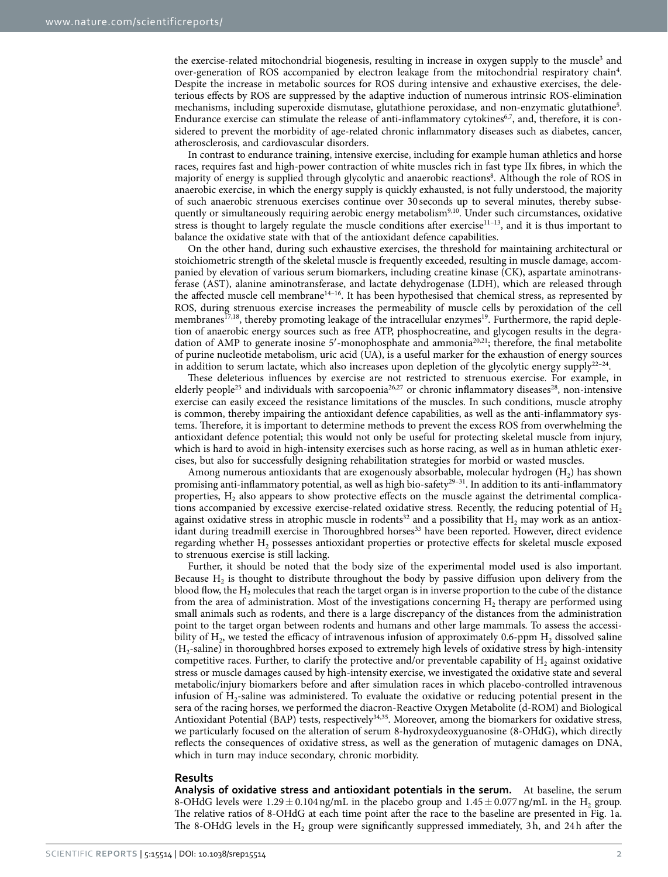the exercise-related mitochondrial biogenesis, resulting in increase in oxygen supply to the muscle<sup>[3](#page-6-2)</sup> and over-generation of ROS accompanied by electron leakage from the mitochondrial respiratory chain<sup>[4](#page-6-3)</sup>. Despite the increase in metabolic sources for ROS during intensive and exhaustive exercises, the deleterious effects by ROS are suppressed by the adaptive induction of numerous intrinsic ROS-elimination mechanisms, including superoxide dismutase, glutathione peroxidase, and non-enzymatic glutathione[5](#page-6-4) . Endurance exercise can stimulate the release of anti-inflammatory cytokines<sup>6,7</sup>, and, therefore, it is considered to prevent the morbidity of age-related chronic inflammatory diseases such as diabetes, cancer, atherosclerosis, and cardiovascular disorders.

In contrast to endurance training, intensive exercise, including for example human athletics and horse races, requires fast and high-power contraction of white muscles rich in fast type IIx fibres, in which the majority of energy is supplied through glycolytic and anaerobic reactions<sup>8</sup>. Although the role of ROS in anaerobic exercise, in which the energy supply is quickly exhausted, is not fully understood, the majority of such anaerobic strenuous exercises continue over 30 seconds up to several minutes, thereby subse-quently or simultaneously requiring aerobic energy metabolism<sup>9[,10](#page-7-0)</sup>. Under such circumstances, oxidative stress is thought to largely regulate the muscle conditions after exercise $11-13$ , and it is thus important to balance the oxidative state with that of the antioxidant defence capabilities.

On the other hand, during such exhaustive exercises, the threshold for maintaining architectural or stoichiometric strength of the skeletal muscle is frequently exceeded, resulting in muscle damage, accompanied by elevation of various serum biomarkers, including creatine kinase (CK), aspartate aminotransferase (AST), alanine aminotransferase, and lactate dehydrogenase (LDH), which are released through the affected muscle cell membran[e14–16](#page-7-2). It has been hypothesised that chemical stress, as represented by ROS, during strenuous exercise increases the permeability of muscle cells by peroxidation of the cell membranes<sup>17[,18](#page-7-4)</sup>, thereby promoting leakage of the intracellular enzymes<sup>19</sup>. Furthermore, the rapid depletion of anaerobic energy sources such as free ATP, phosphocreatine, and glycogen results in the degra-dation of AMP to generate inosine 5'-monophosphate and ammonia<sup>[20,](#page-7-6)[21](#page-7-7)</sup>; therefore, the final metabolite of purine nucleotide metabolism, uric acid (UA), is a useful marker for the exhaustion of energy sources in addition to serum lactate, which also increases upon depletion of the glycolytic energy supply<sup>22-24</sup>.

These deleterious influences by exercise are not restricted to strenuous exercise. For example, in elderly people<sup>25</sup> and individuals with sarcopoenia<sup>26,27</sup> or chronic inflammatory diseases<sup>28</sup>, non-intensive exercise can easily exceed the resistance limitations of the muscles. In such conditions, muscle atrophy is common, thereby impairing the antioxidant defence capabilities, as well as the anti-inflammatory systems. Therefore, it is important to determine methods to prevent the excess ROS from overwhelming the antioxidant defence potential; this would not only be useful for protecting skeletal muscle from injury, which is hard to avoid in high-intensity exercises such as horse racing, as well as in human athletic exercises, but also for successfully designing rehabilitation strategies for morbid or wasted muscles.

Among numerous antioxidants that are exogenously absorbable, molecular hydrogen  $(H_2)$  has shown promising anti-inflammatory potential, as well as high bio-safety<sup>29-31</sup>. In addition to its anti-inflammatory properties,  $H_2$  also appears to show protective effects on the muscle against the detrimental complications accompanied by excessive exercise-related oxidative stress. Recently, the reducing potential of  $H_2$ against oxidative stress in atrophic muscle in rodents<sup>32</sup> and a possibility that  $H_2$  may work as an antioxidant during treadmill exercise in Thoroughbred horses<sup>33</sup> have been reported. However, direct evidence regarding whether H<sub>2</sub> possesses antioxidant properties or protective effects for skeletal muscle exposed to strenuous exercise is still lacking.

Further, it should be noted that the body size of the experimental model used is also important. Because  $H_2$  is thought to distribute throughout the body by passive diffusion upon delivery from the blood flow, the  $H_2$  molecules that reach the target organ is in inverse proportion to the cube of the distance from the area of administration. Most of the investigations concerning  $H<sub>2</sub>$  therapy are performed using small animals such as rodents, and there is a large discrepancy of the distances from the administration point to the target organ between rodents and humans and other large mammals. To assess the accessibility of  $H_2$ , we tested the efficacy of intravenous infusion of approximately 0.6-ppm  $H_2$  dissolved saline  $(H<sub>2</sub>-saline)$  in thoroughbred horses exposed to extremely high levels of oxidative stress by high-intensity competitive races. Further, to clarify the protective and/or preventable capability of  $H_2$  against oxidative stress or muscle damages caused by high-intensity exercise, we investigated the oxidative state and several metabolic/injury biomarkers before and after simulation races in which placebo-controlled intravenous infusion of  $H_2$ -saline was administered. To evaluate the oxidative or reducing potential present in the sera of the racing horses, we performed the diacron-Reactive Oxygen Metabolite (d-ROM) and Biological Antioxidant Potential (BAP) tests, respectively<sup>[34](#page-7-16)[,35](#page-7-17)</sup>. Moreover, among the biomarkers for oxidative stress, we particularly focused on the alteration of serum 8-hydroxydeoxyguanosine (8-OHdG), which directly reflects the consequences of oxidative stress, as well as the generation of mutagenic damages on DNA, which in turn may induce secondary, chronic morbidity.

#### **Results**

**Analysis of oxidative stress and antioxidant potentials in the serum.** At baseline, the serum 8-OHdG levels were  $1.29 \pm 0.104$  ng/mL in the placebo group and  $1.45 \pm 0.077$  ng/mL in the H<sub>2</sub> group. The relative ratios of 8-OHdG at each time point after the race to the baseline are presented in [Fig. 1a](#page-2-0). The 8-OHdG levels in the  $H_2$  group were significantly suppressed immediately, 3h, and 24h after the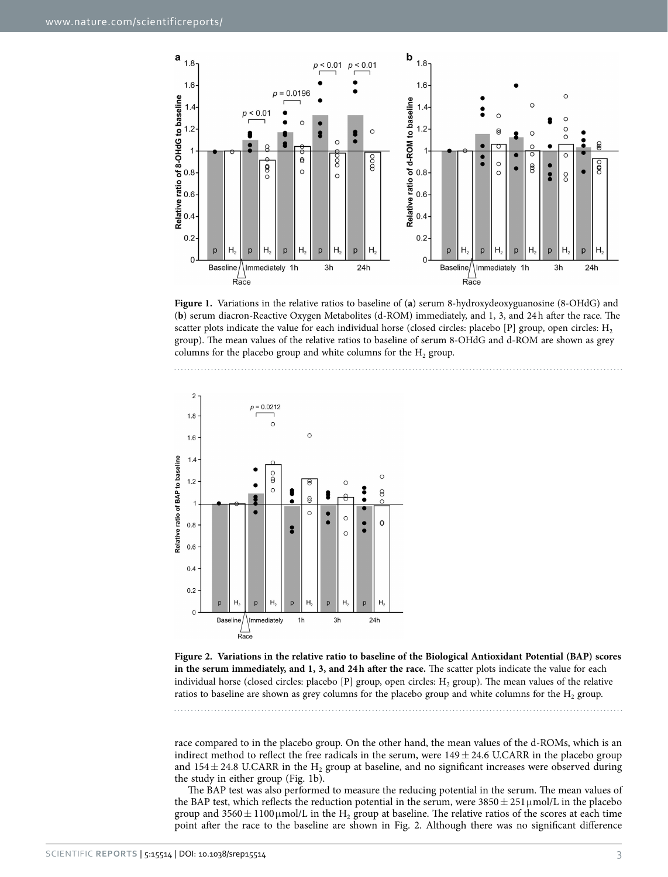

<span id="page-2-0"></span>**Figure 1.** Variations in the relative ratios to baseline of (**a**) serum 8-hydroxydeoxyguanosine (8-OHdG) and (**b**) serum diacron-Reactive Oxygen Metabolites (d-ROM) immediately, and 1, 3, and 24h after the race. The scatter plots indicate the value for each individual horse (closed circles: placebo [P] group, open circles:  $H_2$ group). The mean values of the relative ratios to baseline of serum 8-OHdG and d-ROM are shown as grey columns for the placebo group and white columns for the  $H_2$  group.



<span id="page-2-1"></span>**Figure 2. Variations in the relative ratio to baseline of the Biological Antioxidant Potential (BAP) scores in the serum immediately, and 1, 3, and 24h after the race.** The scatter plots indicate the value for each individual horse (closed circles: placebo [P] group, open circles:  $H_2$  group). The mean values of the relative ratios to baseline are shown as grey columns for the placebo group and white columns for the  $H_2$  group.

race compared to in the placebo group. On the other hand, the mean values of the d-ROMs, which is an indirect method to reflect the free radicals in the serum, were  $149 \pm 24.6$  U.CARR in the placebo group and  $154 \pm 24.8$  U.CARR in the H<sub>2</sub> group at baseline, and no significant increases were observed during the study in either group ([Fig. 1b](#page-2-0)).

The BAP test was also performed to measure the reducing potential in the serum. The mean values of the BAP test, which reflects the reduction potential in the serum, were  $3850 \pm 251 \,\mu\text{mol/L}$  in the placebo group and  $3560 \pm 1100 \mu$ mol/L in the H<sub>2</sub> group at baseline. The relative ratios of the scores at each time point after the race to the baseline are shown in [Fig. 2.](#page-2-1) Although there was no significant difference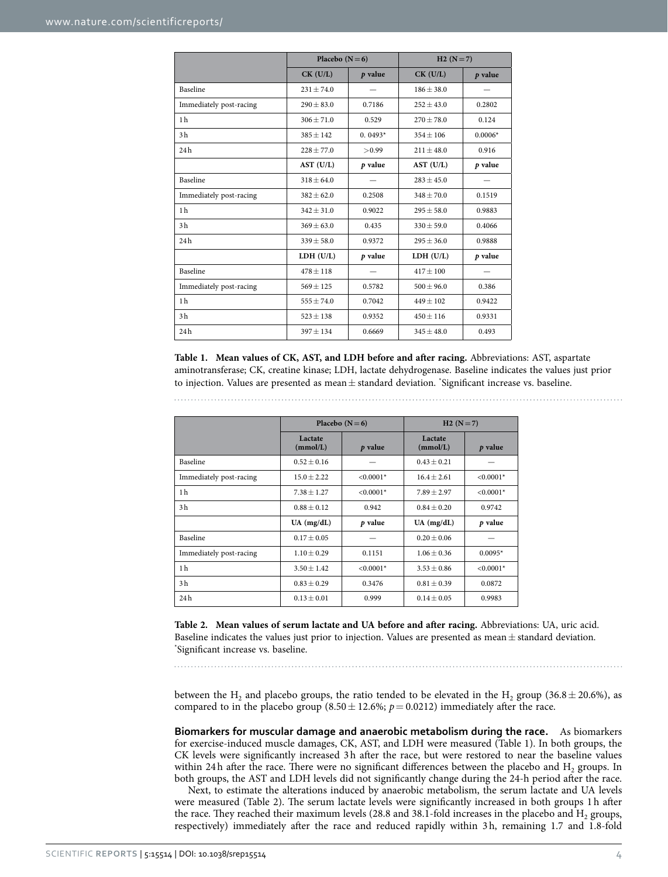<span id="page-3-0"></span>

|                         | Placebo $(N=6)$ |           | $H2(N=7)$      |           |
|-------------------------|-----------------|-----------|----------------|-----------|
|                         | $CK$ (U/L)      | $p$ value | $CK$ (U/L)     | $p$ value |
| Baseline                | $231 + 74.0$    |           | $186 + 38.0$   |           |
| Immediately post-racing | $290 + 83.0$    | 0.7186    | $252 + 43.0$   | 0.2802    |
| 1 <sub>h</sub>          | $306 \pm 71.0$  | 0.529     | $270 + 78.0$   | 0.124     |
| 3 <sub>h</sub>          | $385 + 142$     | $0.0493*$ | $354 + 106$    | $0.0006*$ |
| 24h                     | $228 + 77.0$    | > 0.99    | $211 + 48.0$   | 0.916     |
|                         | AST (U/L)       | $p$ value | AST (U/L)      | $p$ value |
| Baseline                | $318 \pm 64.0$  |           | $283 \pm 45.0$ |           |
| Immediately post-racing | $382 \pm 62.0$  | 0.2508    | $348 \pm 70.0$ | 0.1519    |
| 1 <sub>h</sub>          | $342 \pm 31.0$  | 0.9022    | $295 \pm 58.0$ | 0.9883    |
| 3 <sub>h</sub>          | $369 \pm 63.0$  | 0.435     | $330 \pm 59.0$ | 0.4066    |
| 24h                     | $339 \pm 58.0$  | 0.9372    | $295 + 36.0$   | 0.9888    |
|                         | LDH (U/L)       | p value   | LDH (U/L)      | $p$ value |
| Baseline                | $478 + 118$     |           | $417 + 100$    |           |
| Immediately post-racing | $569 \pm 125$   | 0.5782    | $500 \pm 96.0$ | 0.386     |
| 1 <sub>h</sub>          | $555 \pm 74.0$  | 0.7042    | $449 + 102$    | 0.9422    |
| 3 <sub>h</sub>          | $523 \pm 138$   | 0.9352    | $450 \pm 116$  | 0.9331    |
| 24h                     | $397 \pm 134$   | 0.6669    | $345 \pm 48.0$ | 0.493     |

**Table 1. Mean values of CK, AST, and LDH before and after racing.** Abbreviations: AST, aspartate aminotransferase; CK, creatine kinase; LDH, lactate dehydrogenase. Baseline indicates the values just prior to injection. Values are presented as mean $\pm$  standard deviation. \*Significant increase vs. baseline.

<span id="page-3-1"></span>

|                         | Placebo $(N=6)$     |             | $H2(N=7)$           |             |
|-------------------------|---------------------|-------------|---------------------|-------------|
|                         | Lactate<br>(mmol/L) | $p$ value   | Lactate<br>(mmol/L) | $p$ value   |
| Baseline                | $0.52 \pm 0.16$     |             | $0.43 \pm 0.21$     |             |
| Immediately post-racing | $15.0 \pm 2.22$     | $< 0.0001*$ | $16.4 + 2.61$       | $< 0.0001*$ |
| 1 <sub>h</sub>          | $7.38 \pm 1.27$     | $< 0.0001*$ | $7.89 + 2.97$       | $< 0.0001*$ |
| 3 <sub>h</sub>          | $0.88 + 0.12$       | 0.942       | $0.84 + 0.20$       | 0.9742      |
|                         | $UA$ (mg/dL)        | p value     | $UA$ (mg/dL)        | p value     |
| Baseline                | $0.17 + 0.05$       |             | $0.20 + 0.06$       |             |
| Immediately post-racing | $1.10 \pm 0.29$     | 0.1151      | $1.06 + 0.36$       | $0.0095*$   |
| 1 <sub>h</sub>          | $3.50 \pm 1.42$     | $< 0.0001*$ | $3.53 + 0.86$       | $< 0.0001*$ |
| 3 <sub>h</sub>          | $0.83 \pm 0.29$     | 0.3476      | $0.81 \pm 0.39$     | 0.0872      |
| 24h                     | $0.13 \pm 0.01$     | 0.999       | $0.14 \pm 0.05$     | 0.9983      |

**Table 2. Mean values of serum lactate and UA before and after racing.** Abbreviations: UA, uric acid. Baseline indicates the values just prior to injection. Values are presented as mean $\pm$  standard deviation. Significant increase vs. baseline.

between the H<sub>2</sub> and placebo groups, the ratio tended to be elevated in the H<sub>2</sub> group (36.8  $\pm$  20.6%), as compared to in the placebo group  $(8.50 \pm 12.6\%)$ ;  $p = 0.0212$ ) immediately after the race.

**Biomarkers for muscular damage and anaerobic metabolism during the race.** As biomarkers for exercise-induced muscle damages, CK, AST, and LDH were measured [\(Table 1](#page-3-0)). In both groups, the CK levels were significantly increased 3h after the race, but were restored to near the baseline values within 24h after the race. There were no significant differences between the placebo and  $H_2$  groups. In both groups, the AST and LDH levels did not significantly change during the 24-h period after the race.

Next, to estimate the alterations induced by anaerobic metabolism, the serum lactate and UA levels were measured [\(Table 2](#page-3-1)). The serum lactate levels were significantly increased in both groups 1h after the race. They reached their maximum levels (28.8 and 38.1-fold increases in the placebo and  $H_2$  groups, respectively) immediately after the race and reduced rapidly within 3h, remaining 1.7 and 1.8-fold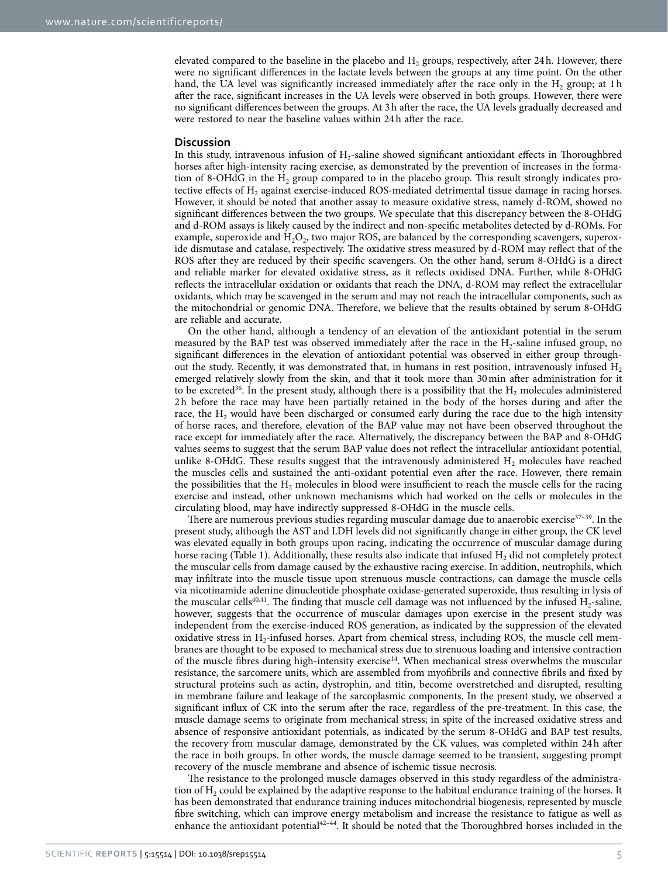elevated compared to the baseline in the placebo and  $H<sub>2</sub>$  groups, respectively, after 24h. However, there were no significant differences in the lactate levels between the groups at any time point. On the other hand, the UA level was significantly increased immediately after the race only in the  $H<sub>2</sub>$  group; at 1h after the race, significant increases in the UA levels were observed in both groups. However, there were no significant differences between the groups. At 3h after the race, the UA levels gradually decreased and were restored to near the baseline values within 24h after the race.

#### **Discussion**

In this study, intravenous infusion of H<sub>2</sub>-saline showed significant antioxidant effects in Thoroughbred horses after high-intensity racing exercise, as demonstrated by the prevention of increases in the formation of 8-OHdG in the  $H_2$  group compared to in the placebo group. This result strongly indicates protective effects of H<sub>2</sub> against exercise-induced ROS-mediated detrimental tissue damage in racing horses. However, it should be noted that another assay to measure oxidative stress, namely d-ROM, showed no significant differences between the two groups. We speculate that this discrepancy between the 8-OHdG and d-ROM assays is likely caused by the indirect and non-specific metabolites detected by d-ROMs. For example, superoxide and H<sub>2</sub>O<sub>2</sub>, two major ROS, are balanced by the corresponding scavengers, superoxide dismutase and catalase, respectively. The oxidative stress measured by d-ROM may reflect that of the ROS after they are reduced by their specific scavengers. On the other hand, serum 8-OHdG is a direct and reliable marker for elevated oxidative stress, as it reflects oxidised DNA. Further, while 8-OHdG reflects the intracellular oxidation or oxidants that reach the DNA, d-ROM may reflect the extracellular oxidants, which may be scavenged in the serum and may not reach the intracellular components, such as the mitochondrial or genomic DNA. Therefore, we believe that the results obtained by serum 8-OHdG are reliable and accurate.

On the other hand, although a tendency of an elevation of the antioxidant potential in the serum measured by the BAP test was observed immediately after the race in the  $H_2$ -saline infused group, no significant differences in the elevation of antioxidant potential was observed in either group throughout the study. Recently, it was demonstrated that, in humans in rest position, intravenously infused  $H_2$ emerged relatively slowly from the skin, and that it took more than 30min after administration for it to be excreted<sup>36</sup>. In the present study, although there is a possibility that the  $H_2$  molecules administered 2h before the race may have been partially retained in the body of the horses during and after the race, the  $H_2$  would have been discharged or consumed early during the race due to the high intensity of horse races, and therefore, elevation of the BAP value may not have been observed throughout the race except for immediately after the race. Alternatively, the discrepancy between the BAP and 8-OHdG values seems to suggest that the serum BAP value does not reflect the intracellular antioxidant potential, unlike 8-OHdG. These results suggest that the intravenously administered  $H_2$  molecules have reached the muscles cells and sustained the anti-oxidant potential even after the race. However, there remain the possibilities that the  $H_2$  molecules in blood were insufficient to reach the muscle cells for the racing exercise and instead, other unknown mechanisms which had worked on the cells or molecules in the circulating blood, may have indirectly suppressed 8-OHdG in the muscle cells.

There are numerous previous studies regarding muscular damage due to anaerobic exercise $37-39$ . In the present study, although the AST and LDH levels did not significantly change in either group, the CK level was elevated equally in both groups upon racing, indicating the occurrence of muscular damage during horse racing [\(Table 1](#page-3-0)). Additionally, these results also indicate that infused H<sub>2</sub> did not completely protect the muscular cells from damage caused by the exhaustive racing exercise. In addition, neutrophils, which may infiltrate into the muscle tissue upon strenuous muscle contractions, can damage the muscle cells via nicotinamide adenine dinucleotide phosphate oxidase-generated superoxide, thus resulting in lysis of the muscular cells<sup>[40,](#page-7-20)[41](#page-7-21)</sup>. The finding that muscle cell damage was not influenced by the infused  $H_2$ -saline, however, suggests that the occurrence of muscular damages upon exercise in the present study was independent from the exercise-induced ROS generation, as indicated by the suppression of the elevated oxidative stress in  $H_2$ -infused horses. Apart from chemical stress, including ROS, the muscle cell membranes are thought to be exposed to mechanical stress due to strenuous loading and intensive contraction of the muscle fibres during high-intensity exercise<sup>[14](#page-7-2)</sup>. When mechanical stress overwhelms the muscular resistance, the sarcomere units, which are assembled from myofibrils and connective fibrils and fixed by structural proteins such as actin, dystrophin, and titin, become overstretched and disrupted, resulting in membrane failure and leakage of the sarcoplasmic components. In the present study, we observed a significant influx of CK into the serum after the race, regardless of the pre-treatment. In this case, the muscle damage seems to originate from mechanical stress; in spite of the increased oxidative stress and absence of responsive antioxidant potentials, as indicated by the serum 8-OHdG and BAP test results, the recovery from muscular damage, demonstrated by the CK values, was completed within 24h after the race in both groups. In other words, the muscle damage seemed to be transient, suggesting prompt recovery of the muscle membrane and absence of ischemic tissue necrosis.

The resistance to the prolonged muscle damages observed in this study regardless of the administration of  $H_2$  could be explained by the adaptive response to the habitual endurance training of the horses. It has been demonstrated that endurance training induces mitochondrial biogenesis, represented by muscle fibre switching, which can improve energy metabolism and increase the resistance to fatigue as well as enhance the antioxidant potential<sup>42–44</sup>. It should be noted that the Thoroughbred horses included in the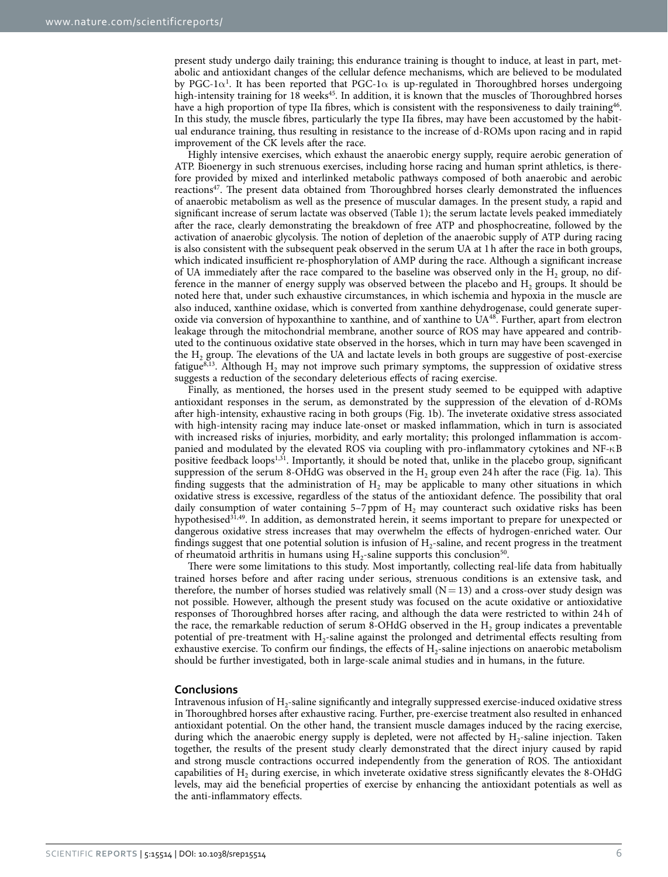present study undergo daily training; this endurance training is thought to induce, at least in part, metabolic and antioxidant changes of the cellular defence mechanisms, which are believed to be modulated by PGC-[1](#page-6-0) $\alpha^1$ . It has been reported that PGC-1 $\alpha$  is up-regulated in Thoroughbred horses undergoing high-intensity training for 18 weeks<sup>45</sup>. In addition, it is known that the muscles of Thoroughbred horses have a high proportion of type IIa fibres, which is consistent with the responsiveness to daily training<sup>[46](#page-7-24)</sup>. In this study, the muscle fibres, particularly the type IIa fibres, may have been accustomed by the habitual endurance training, thus resulting in resistance to the increase of d-ROMs upon racing and in rapid improvement of the CK levels after the race.

Highly intensive exercises, which exhaust the anaerobic energy supply, require aerobic generation of ATP. Bioenergy in such strenuous exercises, including horse racing and human sprint athletics, is therefore provided by mixed and interlinked metabolic pathways composed of both anaerobic and aerobic reactions<sup>47</sup>. The present data obtained from Thoroughbred horses clearly demonstrated the influences of anaerobic metabolism as well as the presence of muscular damages. In the present study, a rapid and significant increase of serum lactate was observed [\(Table 1\)](#page-3-0); the serum lactate levels peaked immediately after the race, clearly demonstrating the breakdown of free ATP and phosphocreatine, followed by the activation of anaerobic glycolysis. The notion of depletion of the anaerobic supply of ATP during racing is also consistent with the subsequent peak observed in the serum UA at 1h after the race in both groups, which indicated insufficient re-phosphorylation of AMP during the race. Although a significant increase of UA immediately after the race compared to the baseline was observed only in the  $H<sub>2</sub>$  group, no difference in the manner of energy supply was observed between the placebo and  $H_2$  groups. It should be noted here that, under such exhaustive circumstances, in which ischemia and hypoxia in the muscle are also induced, xanthine oxidase, which is converted from xanthine dehydrogenase, could generate superoxide via conversion of hypoxanthine to xanthine, and of xanthine to U[A48](#page-7-26). Further, apart from electron leakage through the mitochondrial membrane, another source of ROS may have appeared and contributed to the continuous oxidative state observed in the horses, which in turn may have been scavenged in the H<sub>2</sub> group. The elevations of the UA and lactate levels in both groups are suggestive of post-exercise fatigue<sup>8,13</sup>. Although H<sub>2</sub> may not improve such primary symptoms, the suppression of oxidative stress suggests a reduction of the secondary deleterious effects of racing exercise.

Finally, as mentioned, the horses used in the present study seemed to be equipped with adaptive antioxidant responses in the serum, as demonstrated by the suppression of the elevation of d-ROMs after high-intensity, exhaustive racing in both groups [\(Fig. 1b\)](#page-2-0). The inveterate oxidative stress associated with high-intensity racing may induce late-onset or masked inflammation, which in turn is associated with increased risks of injuries, morbidity, and early mortality; this prolonged inflammation is accompanied and modulated by the elevated ROS via coupling with pro-inflammatory cytokines and NF-κB positive feedback loops<sup>1[,31](#page-7-28)</sup>. Importantly, it should be noted that, unlike in the placebo group, significant suppression of the serum 8-OHdG was observed in the  $H<sub>2</sub>$  group even 24h after the race ([Fig. 1a](#page-2-0)). This finding suggests that the administration of  $H_2$  may be applicable to many other situations in which oxidative stress is excessive, regardless of the status of the antioxidant defence. The possibility that oral daily consumption of water containing  $5-7$  ppm of  $H_2$  may counteract such oxidative risks has been hypothesised<sup>31,49</sup>. In addition, as demonstrated herein, it seems important to prepare for unexpected or dangerous oxidative stress increases that may overwhelm the effects of hydrogen-enriched water. Our findings suggest that one potential solution is infusion of  $H_2$ -saline, and recent progress in the treatment of rheumatoid arthritis in humans using  $H_2$ -saline supports this conclusion<sup>50</sup>.

There were some limitations to this study. Most importantly, collecting real-life data from habitually trained horses before and after racing under serious, strenuous conditions is an extensive task, and therefore, the number of horses studied was relatively small  $(N = 13)$  and a cross-over study design was not possible. However, although the present study was focused on the acute oxidative or antioxidative responses of Thoroughbred horses after racing, and although the data were restricted to within 24h of the race, the remarkable reduction of serum 8-OHdG observed in the  $H<sub>2</sub>$  group indicates a preventable potential of pre-treatment with H<sub>2</sub>-saline against the prolonged and detrimental effects resulting from exhaustive exercise. To confirm our findings, the effects of  $H_2$ -saline injections on anaerobic metabolism should be further investigated, both in large-scale animal studies and in humans, in the future.

#### **Conclusions**

Intravenous infusion of H2-saline significantly and integrally suppressed exercise-induced oxidative stress in Thoroughbred horses after exhaustive racing. Further, pre-exercise treatment also resulted in enhanced antioxidant potential. On the other hand, the transient muscle damages induced by the racing exercise, during which the anaerobic energy supply is depleted, were not affected by  $H_2$ -saline injection. Taken together, the results of the present study clearly demonstrated that the direct injury caused by rapid and strong muscle contractions occurred independently from the generation of ROS. The antioxidant capabilities of  $H_2$  during exercise, in which inveterate oxidative stress significantly elevates the 8-OHdG levels, may aid the beneficial properties of exercise by enhancing the antioxidant potentials as well as the anti-inflammatory effects.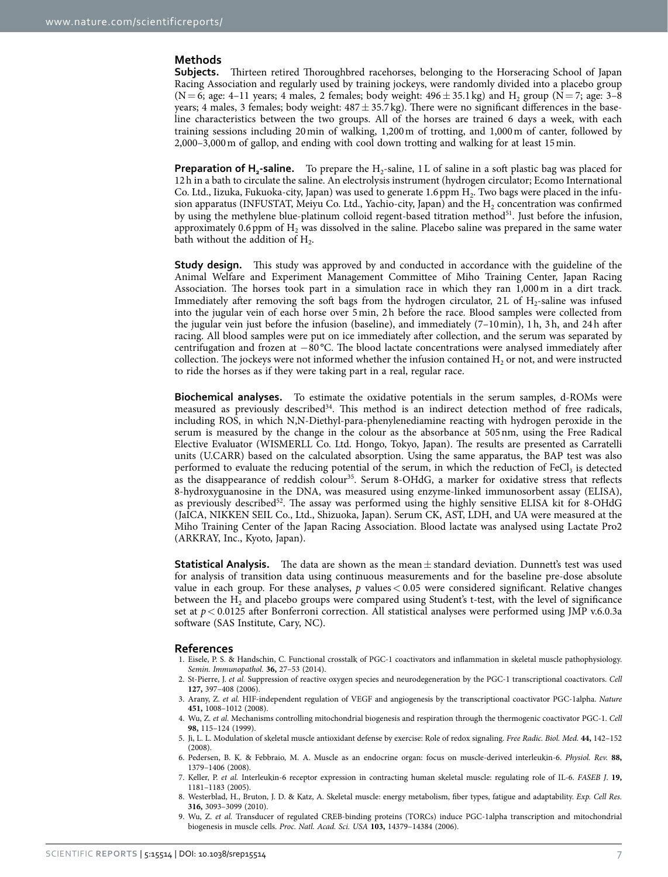#### **Methods**

**Subjects.** Thirteen retired Thoroughbred racehorses, belonging to the Horseracing School of Japan Racing Association and regularly used by training jockeys, were randomly divided into a placebo group  $(N= 6;$  age: 4–11 years; 4 males, 2 females; body weight:  $496 \pm 35.1$  kg) and H<sub>2</sub> group (N = 7; age: 3–8 years; 4 males, 3 females; body weight:  $487 \pm 35.7$  kg). There were no significant differences in the baseline characteristics between the two groups. All of the horses are trained 6 days a week, with each training sessions including 20min of walking, 1,200m of trotting, and 1,000m of canter, followed by 2,000–3,000m of gallop, and ending with cool down trotting and walking for at least 15min.

**Preparation of H<sub>2</sub>**-saline. To prepare the H<sub>2</sub>-saline, 1L of saline in a soft plastic bag was placed for 12h in a bath to circulate the saline. An electrolysis instrument (hydrogen circulator; Ecomo International Co. Ltd., Iizuka, Fukuoka-city, Japan) was used to generate 1.6 ppm  $H<sub>2</sub>$ . Two bags were placed in the infusion apparatus (INFUSTAT, Meiyu Co. Ltd., Yachio-city, Japan) and the  $H<sub>2</sub>$  concentration was confirmed by using the methylene blue-platinum colloid regent-based titration method $51$ . Just before the infusion, approximately 0.6 ppm of  $H<sub>2</sub>$  was dissolved in the saline. Placebo saline was prepared in the same water bath without the addition of  $H<sub>2</sub>$ .

**Study design.** This study was approved by and conducted in accordance with the guideline of the Animal Welfare and Experiment Management Committee of Miho Training Center, Japan Racing Association. The horses took part in a simulation race in which they ran 1,000m in a dirt track. Immediately after removing the soft bags from the hydrogen circulator, 2L of  $H_2$ -saline was infused into the jugular vein of each horse over 5min, 2h before the race. Blood samples were collected from the jugular vein just before the infusion (baseline), and immediately (7–10min), 1h, 3h, and 24h after racing. All blood samples were put on ice immediately after collection, and the serum was separated by centrifugation and frozen at −80 °C. The blood lactate concentrations were analysed immediately after collection. The jockeys were not informed whether the infusion contained  $H<sub>2</sub>$  or not, and were instructed to ride the horses as if they were taking part in a real, regular race.

**Biochemical analyses.** To estimate the oxidative potentials in the serum samples, d-ROMs were measured as previously describe[d34](#page-7-16). This method is an indirect detection method of free radicals, including ROS, in which N,N-Diethyl-para-phenylenediamine reacting with hydrogen peroxide in the serum is measured by the change in the colour as the absorbance at 505nm, using the Free Radical Elective Evaluator (WISMERLL Co. Ltd. Hongo, Tokyo, Japan). The results are presented as Carratelli units (U.CARR) based on the calculated absorption. Using the same apparatus, the BAP test was also performed to evaluate the reducing potential of the serum, in which the reduction of  $FeCl<sub>3</sub>$  is detected as the disappearance of reddish colour<sup>35</sup>. Serum 8-OHdG, a marker for oxidative stress that reflects 8-hydroxyguanosine in the DNA, was measured using enzyme-linked immunosorbent assay (ELISA), as previously described<sup>52</sup>. The assay was performed using the highly sensitive ELISA kit for 8-OHdG (JaICA, NIKKEN SEIL Co., Ltd., Shizuoka, Japan). Serum CK, AST, LDH, and UA were measured at the Miho Training Center of the Japan Racing Association. Blood lactate was analysed using Lactate Pro2 (ARKRAY, Inc., Kyoto, Japan).

**Statistical Analysis.** The data are shown as the mean $\pm$  standard deviation. Dunnett's test was used for analysis of transition data using continuous measurements and for the baseline pre-dose absolute value in each group. For these analyses, *p* values< 0.05 were considered significant. Relative changes between the H<sub>2</sub> and placebo groups were compared using Student's t-test, with the level of significance set at  $p < 0.0125$  after Bonferroni correction. All statistical analyses were performed using JMP v.6.0.3a software (SAS Institute, Cary, NC).

#### **References**

- <span id="page-6-0"></span>1. Eisele, P. S. & Handschin, C. Functional crosstalk of PGC-1 coactivators and inflammation in skeletal muscle pathophysiology. *Semin. Immunopathol.* **36,** 27–53 (2014).
- <span id="page-6-1"></span>2. St-Pierre, J. *et al.* Suppression of reactive oxygen species and neurodegeneration by the PGC-1 transcriptional coactivators. *Cell* **127,** 397–408 (2006).
- <span id="page-6-2"></span>3. Arany, Z. *et al.* HIF-independent regulation of VEGF and angiogenesis by the transcriptional coactivator PGC-1alpha. *Nature* **451,** 1008–1012 (2008).
- <span id="page-6-3"></span>4. Wu, Z. *et al.* Mechanisms controlling mitochondrial biogenesis and respiration through the thermogenic coactivator PGC-1. *Cell* **98,** 115–124 (1999).
- <span id="page-6-4"></span>5. Ji, L. L. Modulation of skeletal muscle antioxidant defense by exercise: Role of redox signaling. *Free Radic. Biol. Med.* **44,** 142–152 (2008).
- <span id="page-6-5"></span>6. Pedersen, B. K. & Febbraio, M. A. Muscle as an endocrine organ: focus on muscle-derived interleukin-6. *Physiol. Rev.* **88,** 1379–1406 (2008).
- <span id="page-6-6"></span>7. Keller, P. *et al.* Interleukin-6 receptor expression in contracting human skeletal muscle: regulating role of IL-6. *FASEB J*. **19,** 1181–1183 (2005).
- <span id="page-6-7"></span>8. Westerblad, H., Bruton, J. D. & Katz, A. Skeletal muscle: energy metabolism, fiber types, fatigue and adaptability. *Exp. Cell Res.* **316,** 3093–3099 (2010).
- <span id="page-6-8"></span>9. Wu, Z. *et al.* Transducer of regulated CREB-binding proteins (TORCs) induce PGC-1alpha transcription and mitochondrial biogenesis in muscle cells. *Proc. Natl. Acad. Sci. USA* **103,** 14379–14384 (2006).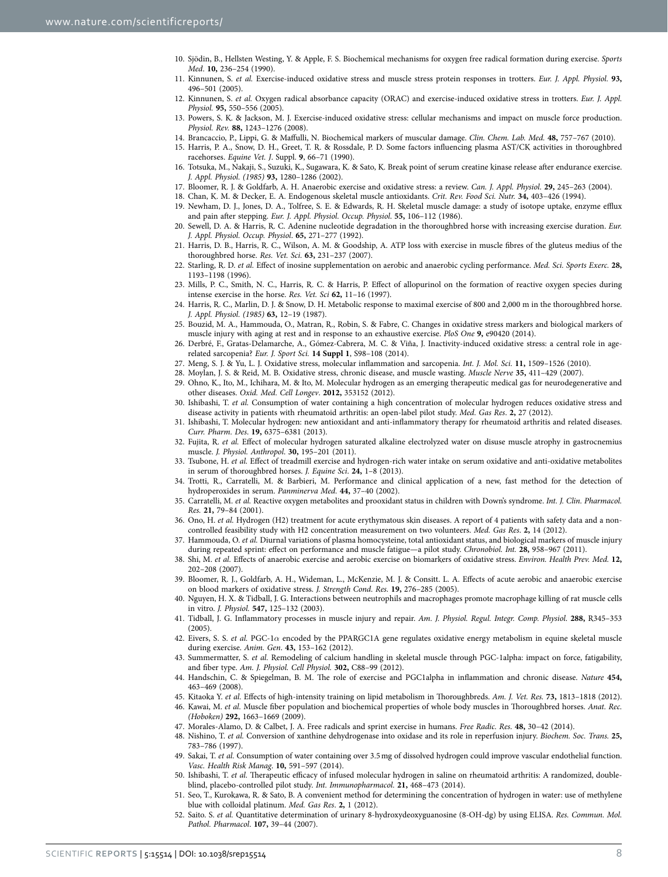- <span id="page-7-0"></span>10. Sjödin, B., Hellsten Westing, Y. & Apple, F. S. Biochemical mechanisms for oxygen free radical formation during exercise. *Sports Med*. **10,** 236–254 (1990).
- <span id="page-7-1"></span>11. Kinnunen, S. *et al.* Exercise-induced oxidative stress and muscle stress protein responses in trotters. *Eur. J. Appl. Physiol.* **93,** 496–501 (2005).
- 12. Kinnunen, S. *et al.* Oxygen radical absorbance capacity (ORAC) and exercise-induced oxidative stress in trotters. *Eur. J. Appl. Physiol.* **95,** 550–556 (2005).
- <span id="page-7-27"></span><span id="page-7-2"></span>13. Powers, S. K. & Jackson, M. J. Exercise-induced oxidative stress: cellular mechanisms and impact on muscle force production. *Physiol. Rev.* **88,** 1243–1276 (2008).
- 14. Brancaccio, P., Lippi, G. & Maffulli, N. Biochemical markers of muscular damage. *Clin. Chem. Lab. Med.* **48,** 757–767 (2010).
- 15. Harris, P. A., Snow, D. H., Greet, T. R. & Rossdale, P. D. Some factors influencing plasma AST/CK activities in thoroughbred racehorses. *Equine Vet. J*. Suppl. **9**, 66–71 (1990).
- 16. Totsuka, M., Nakaji, S., Suzuki, K., Sugawara, K. & Sato, K. Break point of serum creatine kinase release after endurance exercise. *J. Appl. Physiol. (1985)* **93,** 1280–1286 (2002).
- <span id="page-7-4"></span><span id="page-7-3"></span>17. Bloomer, R. J. & Goldfarb, A. H. Anaerobic exercise and oxidative stress: a review. *Can. J. Appl. Physiol.* **29,** 245–263 (2004).
- 18. Chan, K. M. & Decker, E. A. Endogenous skeletal muscle antioxidants. *Crit. Rev. Food Sci. Nutr.* **34,** 403–426 (1994).
- <span id="page-7-5"></span>19. Newham, D. J., Jones, D. A., Tolfree, S. E. & Edwards, R. H. Skeletal muscle damage: a study of isotope uptake, enzyme efflux and pain after stepping. *Eur. J. Appl. Physiol. Occup. Physiol*. **55,** 106–112 (1986).
- <span id="page-7-6"></span>20. Sewell, D. A. & Harris, R. C. Adenine nucleotide degradation in the thoroughbred horse with increasing exercise duration. *Eur. J. Appl. Physiol. Occup. Physiol*. **65,** 271–277 (1992).
- <span id="page-7-7"></span>21. Harris, D. B., Harris, R. C., Wilson, A. M. & Goodship, A. ATP loss with exercise in muscle fibres of the gluteus medius of the thoroughbred horse. *Res. Vet. Sci.* **63,** 231–237 (2007).
- <span id="page-7-8"></span>22. Starling, R. D. *et al.* Effect of inosine supplementation on aerobic and anaerobic cycling performance. *Med. Sci. Sports Exerc.* **28,** 1193–1198 (1996).
- 23. Mills, P. C., Smith, N. C., Harris, R. C. & Harris, P. Effect of allopurinol on the formation of reactive oxygen species during intense exercise in the horse. *Res. Vet. Sci* **62,** 11–16 (1997).
- 24. Harris, R. C., Marlin, D. J. & Snow, D. H. Metabolic response to maximal exercise of 800 and 2,000 m in the thoroughbred horse. *J. Appl. Physiol. (1985)* **63,** 12–19 (1987).
- <span id="page-7-9"></span>25. Bouzid, M. A., Hammouda, O., Matran, R., Robin, S. & Fabre, C. Changes in oxidative stress markers and biological markers of muscle injury with aging at rest and in response to an exhaustive exercise. *PloS One* **9,** e90420 (2014).
- <span id="page-7-10"></span>26. Derbré, F., Gratas-Delamarche, A., Gómez-Cabrera, M. C. & Viña, J. Inactivity-induced oxidative stress: a central role in agerelated sarcopenia? *Eur. J. Sport Sci.* **14 Suppl 1**, S98–108 (2014).
- <span id="page-7-11"></span>27. Meng, S. J. & Yu, L. J. Oxidative stress, molecular inflammation and sarcopenia. *Int. J. Mol. Sci.* **11,** 1509–1526 (2010).
- <span id="page-7-12"></span>28. Moylan, J. S. & Reid, M. B. Oxidative stress, chronic disease, and muscle wasting. *Muscle Nerve* **35,** 411–429 (2007).
- <span id="page-7-13"></span>29. Ohno, K., Ito, M., Ichihara, M. & Ito, M. Molecular hydrogen as an emerging therapeutic medical gas for neurodegenerative and other diseases. *Oxid. Med. Cell Longev*. **2012,** 353152 (2012).
- Ishibashi, T. et al. Consumption of water containing a high concentration of molecular hydrogen reduces oxidative stress and disease activity in patients with rheumatoid arthritis: an open-label pilot study. *Med. Gas Res*. **2,** 27 (2012).
- <span id="page-7-28"></span>31. Ishibashi, T. Molecular hydrogen: new antioxidant and anti-inflammatory therapy for rheumatoid arthritis and related diseases. *Curr. Pharm. Des*. **19,** 6375–6381 (2013).
- <span id="page-7-14"></span>32. Fujita, R. *et al.* Effect of molecular hydrogen saturated alkaline electrolyzed water on disuse muscle atrophy in gastrocnemius muscle. *J. Physiol. Anthropol*. **30,** 195–201 (2011).
- <span id="page-7-15"></span>33. Tsubone, H. *et al.* Effect of treadmill exercise and hydrogen-rich water intake on serum oxidative and anti-oxidative metabolites in serum of thoroughbred horses. *J. Equine Sci*. **24,** 1–8 (2013).
- <span id="page-7-16"></span>34. Trotti, R., Carratelli, M. & Barbieri, M. Performance and clinical application of a new, fast method for the detection of hydroperoxides in serum. *Panminerva Med.* **44,** 37–40 (2002).
- <span id="page-7-17"></span>35. Carratelli, M. *et al.* Reactive oxygen metabolites and prooxidant status in children with Down's syndrome. *Int. J. Clin. Pharmacol. Res.* **21,** 79–84 (2001).
- <span id="page-7-18"></span>36. Ono, H. *et al.* Hydrogen (H2) treatment for acute erythymatous skin diseases. A report of 4 patients with safety data and a noncontrolled feasibility study with H2 concentration measurement on two volunteers. *Med. Gas Res*. **2,** 14 (2012).
- <span id="page-7-19"></span>37. Hammouda, O. *et al.* Diurnal variations of plasma homocysteine, total antioxidant status, and biological markers of muscle injury during repeated sprint: effect on performance and muscle fatigue—a pilot study. *Chronobiol. Int.* **28,** 958–967 (2011).
- 38. Shi, M. *et al.* Effects of anaerobic exercise and aerobic exercise on biomarkers of oxidative stress. *Environ. Health Prev. Med.* **12,** 202–208 (2007).
- 39. Bloomer, R. J., Goldfarb, A. H., Wideman, L., McKenzie, M. J. & Consitt. L. A. Effects of acute aerobic and anaerobic exercise on blood markers of oxidative stress. *J. Strength Cond. Res.* **19,** 276–285 (2005).
- <span id="page-7-20"></span>40. Nguyen, H. X. & Tidball, J. G. Interactions between neutrophils and macrophages promote macrophage killing of rat muscle cells in vitro. *J. Physiol.* **547,** 125–132 (2003).
- <span id="page-7-21"></span>41. Tidball, J. G. Inflammatory processes in muscle injury and repair. *Am. J. Physiol. Regul. Integr. Comp. Physiol*. **288,** R345–353 (2005).
- <span id="page-7-22"></span>42. Eivers, S. S. *et al.* PGC-1*α* encoded by the PPARGC1A gene regulates oxidative energy metabolism in equine skeletal muscle during exercise. *Anim. Gen*. **43,** 153–162 (2012).
- 43. Summermatter, S. *et al.* Remodeling of calcium handling in skeletal muscle through PGC-1alpha: impact on force, fatigability, and fiber type. *Am. J. Physiol. Cell Physiol.* **302,** C88–99 (2012).
- 44. Handschin, C. & Spiegelman, B. M. The role of exercise and PGC1alpha in inflammation and chronic disease. *Nature* **454,** 463–469 (2008).
- <span id="page-7-23"></span>45. Kitaoka Y. *et al.* Effects of high-intensity training on lipid metabolism in Thoroughbreds. *Am. J. Vet. Res.* **73,** 1813–1818 (2012).
- <span id="page-7-24"></span>46. Kawai, M. *et al.* Muscle fiber population and biochemical properties of whole body muscles in Thoroughbred horses. *Anat. Rec. (Hoboken)* **292,** 1663–1669 (2009).
- <span id="page-7-26"></span><span id="page-7-25"></span>47. Morales-Alamo, D. & Calbet, J. A. Free radicals and sprint exercise in humans. *Free Radic. Res.* **48,** 30–42 (2014).
- 48. Nishino, T. *et al.* Conversion of xanthine dehydrogenase into oxidase and its role in reperfusion injury. *Biochem. Soc. Trans.* **25,** 783–786 (1997).
- <span id="page-7-29"></span>49. Sakai, T. *et al.* Consumption of water containing over 3.5mg of dissolved hydrogen could improve vascular endothelial function. *Vasc. Health Risk Manag*. **10,** 591–597 (2014).
- <span id="page-7-30"></span>50. Ishibashi, T. *et al.* Therapeutic efficacy of infused molecular hydrogen in saline on rheumatoid arthritis: A randomized, doubleblind, placebo-controlled pilot study. *Int. Immunopharmacol.* **21,** 468–473 (2014).
- <span id="page-7-31"></span>51. Seo, T., Kurokawa, R. & Sato, B. A convenient method for determining the concentration of hydrogen in water: use of methylene blue with colloidal platinum. *Med. Gas Res*. **2,** 1 (2012).
- <span id="page-7-32"></span>52. Saito. S. *et al.* Quantitative determination of urinary 8-hydroxydeoxyguanosine (8-OH-dg) by using ELISA. *Res. Commun. Mol. Pathol. Pharmacol*. **107,** 39–44 (2007).